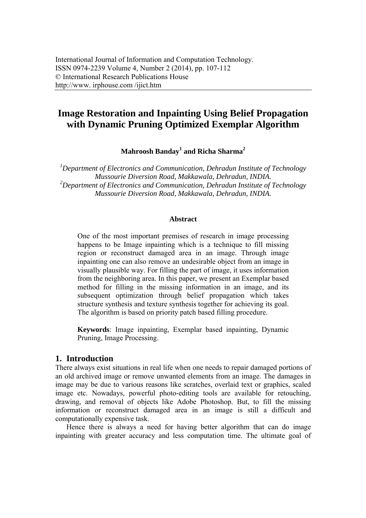# **Image Restoration and Inpainting Using Belief Propagation with Dynamic Pruning Optimized Exemplar Algorithm**

**Mahroosh Banday<sup>1</sup> and Richa Sharma<sup>2</sup>**

*1 Department of Electronics and Communication, Dehradun Institute of Technology Mussourie Diversion Road, Makkawala, Dehradun, INDIA. 2 Department of Electronics and Communication, Dehradun Institute of Technology Mussourie Diversion Road, Makkawala, Dehradun, INDIA.* 

### **Abstract**

One of the most important premises of research in image processing happens to be Image inpainting which is a technique to fill missing region or reconstruct damaged area in an image. Through image inpainting one can also remove an undesirable object from an image in visually plausible way. For filling the part of image, it uses information from the neighboring area. In this paper, we present an Exemplar based method for filling in the missing information in an image, and its subsequent optimization through belief propagation which takes structure synthesis and texture synthesis together for achieving its goal. The algorithm is based on priority patch based filling procedure.

**Keywords**: Image inpainting, Exemplar based inpainting, Dynamic Pruning, Image Processing.

### **1. Introduction**

There always exist situations in real life when one needs to repair damaged portions of an old archived image or remove unwanted elements from an image. The damages in image may be due to various reasons like scratches, overlaid text or graphics, scaled image etc. Nowadays, powerful photo-editing tools are available for retouching, drawing, and removal of objects like Adobe Photoshop. But, to fill the missing information or reconstruct damaged area in an image is still a difficult and computationally expensive task.

Hence there is always a need for having better algorithm that can do image inpainting with greater accuracy and less computation time. The ultimate goal of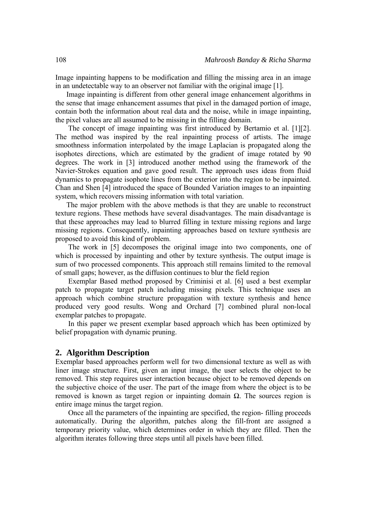Image inpainting happens to be modification and filling the missing area in an image in an undetectable way to an observer not familiar with the original image [1].

Image inpainting is different from other general image enhancement algorithms in the sense that image enhancement assumes that pixel in the damaged portion of image, contain both the information about real data and the noise, while in image inpainting, the pixel values are all assumed to be missing in the filling domain.

 The concept of image inpainting was first introduced by Bertamio et al. [1][2]. The method was inspired by the real inpainting process of artists. The image smoothness information interpolated by the image Laplacian is propagated along the isophotes directions, which are estimated by the gradient of image rotated by 90 degrees. The work in [3] introduced another method using the framework of the Navier-Strokes equation and gave good result. The approach uses ideas from fluid dynamics to propagate isophote lines from the exterior into the region to be inpainted. Chan and Shen [4] introduced the space of Bounded Variation images to an inpainting system, which recovers missing information with total variation.

The major problem with the above methods is that they are unable to reconstruct texture regions. These methods have several disadvantages. The main disadvantage is that these approaches may lead to blurred filling in texture missing regions and large missing regions. Consequently, inpainting approaches based on texture synthesis are proposed to avoid this kind of problem.

 The work in [5] decomposes the original image into two components, one of which is processed by inpainting and other by texture synthesis. The output image is sum of two processed components. This approach still remains limited to the removal of small gaps; however, as the diffusion continues to blur the field region

 Exemplar Based method proposed by Criminisi et al. [6] used a best exemplar patch to propagate target patch including missing pixels. This technique uses an approach which combine structure propagation with texture synthesis and hence produced very good results. Wong and Orchard [7] combined plural non-local exemplar patches to propagate.

 In this paper we present exemplar based approach which has been optimized by belief propagation with dynamic pruning.

### **2. Algorithm Description**

Exemplar based approaches perform well for two dimensional texture as well as with liner image structure. First, given an input image, the user selects the object to be removed. This step requires user interaction because object to be removed depends on the subjective choice of the user. The part of the image from where the object is to be removed is known as target region or inpainting domain Ω. The sources region is entire image minus the target region.

 Once all the parameters of the inpainting are specified, the region- filling proceeds automatically. During the algorithm, patches along the fill-front are assigned a temporary priority value, which determines order in which they are filled. Then the algorithm iterates following three steps until all pixels have been filled.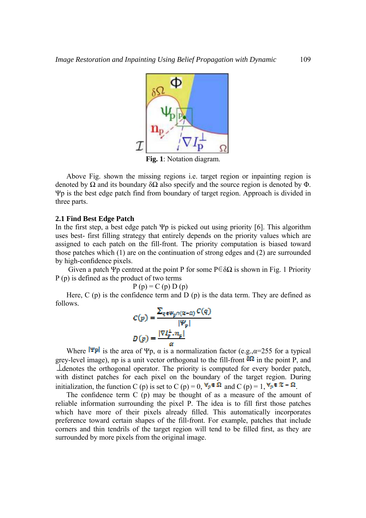

Above Fig. shown the missing regions i.e. target region or inpainting region is denoted by  $\Omega$  and its boundary  $\delta\Omega$  also specify and the source region is denoted by  $\Phi$ . Ψp is the best edge patch find from boundary of target region. Approach is divided in three parts.

### **2.1 Find Best Edge Patch**

In the first step, a best edge patch  $\Psi p$  is picked out using priority [6]. This algorithm uses best- first filling strategy that entirely depends on the priority values which are assigned to each patch on the fill-front. The priority computation is biased toward those patches which (1) are on the continuation of strong edges and (2) are surrounded by high-confidence pixels.

Given a patch Ψp centred at the point P for some  $P \in \delta\Omega$  is shown in Fig. 1 Priority P (p) is defined as the product of two terms

 $P(p) = C(p) D(p)$ 

Here,  $C$  (p) is the confidence term and  $D$  (p) is the data term. They are defined as follows.

$$
C(p) = \frac{\sum_{q \in \Psi_p \cap (2\ell - 1)} C(q)}{|\Psi_p|}
$$

$$
D(p) = \frac{|\nabla I_p^{\perp} \cdot n_p|}{\alpha}
$$

Where  $\Vert \Psi \mathbf{p} \Vert$  is the area of Ψp,  $\alpha$  is a normalization factor (e.g., $\alpha$ =255 for a typical grey-level image), np is a unit vector orthogonal to the fill-front  $\frac{\delta\Omega}{\delta}$  in the point P, and denotes the orthogonal operator. The priority is computed for every border patch, with distinct patches for each pixel on the boundary of the target region. During initialization, the function C (p) is set to C (p) = 0,  $\forall p \in \Omega$  and C (p) = 1,  $\nabla_p \in \mathbb{R} - \Omega$ .

The confidence term C (p) may be thought of as a measure of the amount of reliable information surrounding the pixel P. The idea is to fill first those patches which have more of their pixels already filled. This automatically incorporates preference toward certain shapes of the fill-front. For example, patches that include corners and thin tendrils of the target region will tend to be filled first, as they are surrounded by more pixels from the original image.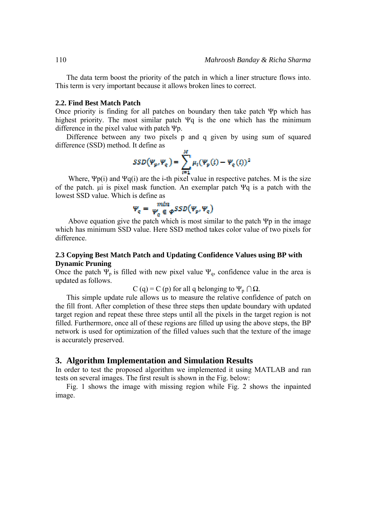The data term boost the priority of the patch in which a liner structure flows into. This term is very important because it allows broken lines to correct.

#### **2.2. Find Best Match Patch**

Once priority is finding for all patches on boundary then take patch Ψp which has highest priority. The most similar patch Ψq is the one which has the minimum difference in the pixel value with patch Ψp.

Difference between any two pixels p and q given by using sum of squared difference (SSD) method. It define as

$$
SSD(\Psi_p, \Psi_q) = \sum_{i=1}^M \mu_i(\Psi_p(i) - \Psi_q(i))^2
$$

Where,  $\Psi p(i)$  and  $\Psi q(i)$  are the i-th pixel value in respective patches. M is the size of the patch. μi is pixel mask function. An exemplar patch Ψq is a patch with the lowest SSD value. Which is define as

$$
\Psi_q = \Psi_q^{\text{min}} \in \Phi^{SSD}(\Psi_p, \Psi_q)
$$

Above equation give the patch which is most similar to the patch  $\Psi p$  in the image which has minimum SSD value. Here SSD method takes color value of two pixels for difference.

## **2.3 Copying Best Match Patch and Updating Confidence Values using BP with Dynamic Pruning**

Once the patch  $\Psi_p$  is filled with new pixel value  $\Psi_q$ , confidence value in the area is updated as follows.

C (q) = C (p) for all q belonging to  $\Psi_p \cap \Omega$ .

This simple update rule allows us to measure the relative confidence of patch on the fill front. After completion of these three steps then update boundary with updated target region and repeat these three steps until all the pixels in the target region is not filled. Furthermore, once all of these regions are filled up using the above steps, the BP network is used for optimization of the filled values such that the texture of the image is accurately preserved.

### **3. Algorithm Implementation and Simulation Results**

In order to test the proposed algorithm we implemented it using MATLAB and ran tests on several images. The first result is shown in the Fig. below:

Fig. 1 shows the image with missing region while Fig. 2 shows the inpainted image.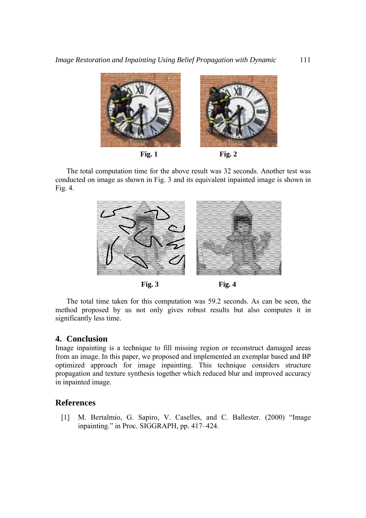

The total computation time for the above result was 32 seconds. Another test was conducted on image as shown in Fig. 3 and its equivalent inpainted image is shown in Fig.  $4$ .



The total time taken for this computation was 59.2 seconds. As can be seen, the method proposed by us not only gives robust results but also computes it in significantly less time.

# 4. Conclusion

Image inpainting is a technique to fill missing region or reconstruct damaged areas from an image. In this paper, we proposed and implemented an exemplar based and BP optimized approach for image inpainting. This technique considers structure propagation and texture synthesis together which reduced blur and improved accuracy in inpainted image.

# **References**

M. Bertalmio, G. Sapiro, V. Caselles, and C. Ballester. (2000) "Image  $\lceil 1 \rceil$ inpainting." in Proc. SIGGRAPH, pp. 417-424.